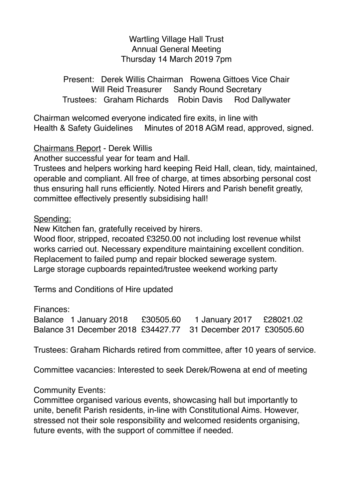Wartling Village Hall Trust Annual General Meeting Thursday 14 March 2019 7pm

Present: Derek Willis Chairman Rowena Gittoes Vice Chair Will Reid Treasurer Sandy Round Secretary Trustees: Graham Richards Robin Davis Rod Dallywater

Chairman welcomed everyone indicated fire exits, in line with Health & Safety Guidelines Minutes of 2018 AGM read, approved, signed.

Chairmans Report - Derek Willis

Another successful year for team and Hall.

Trustees and helpers working hard keeping Reid Hall, clean, tidy, maintained, operable and compliant. All free of charge, at times absorbing personal cost thus ensuring hall runs efficiently. Noted Hirers and Parish benefit greatly, committee effectively presently subsidising hall!

Spending:

New Kitchen fan, gratefully received by hirers.

Wood floor, stripped, recoated £3250.00 not including lost revenue whilst works carried out. Necessary expenditure maintaining excellent condition. Replacement to failed pump and repair blocked sewerage system. Large storage cupboards repainted/trustee weekend working party

Terms and Conditions of Hire updated

Finances:

Balance 1 January 2018 £30505.60 1 January 2017 £28021.02 Balance 31 December 2018 £34427.77 31 December 2017 £30505.60

Trustees: Graham Richards retired from committee, after 10 years of service.

Committee vacancies: Interested to seek Derek/Rowena at end of meeting

Community Events:

Committee organised various events, showcasing hall but importantly to unite, benefit Parish residents, in-line with Constitutional Aims. However, stressed not their sole responsibility and welcomed residents organising, future events, with the support of committee if needed.